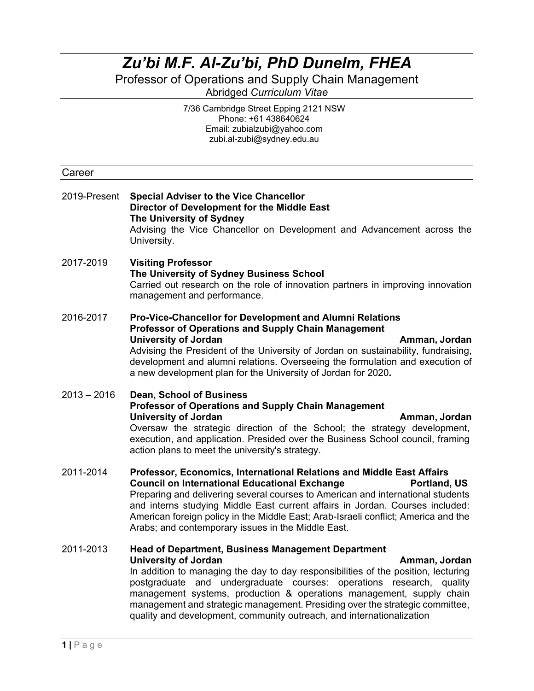## *Zu'bi M.F. Al-Zu'bi, PhD Dunelm, FHEA*

Professor of Operations and Supply Chain Management Abridged *Curriculum Vitae*

> 7/36 Cambridge Street Epping 2121 NSW Phone: +61 438640624 Email: zubialzubi@yahoo.com zubi.al-zubi@sydney.edu.au

| Career        |                                                                                                                                                                                                                                                                                                                                                                                                                                                                                                                |  |
|---------------|----------------------------------------------------------------------------------------------------------------------------------------------------------------------------------------------------------------------------------------------------------------------------------------------------------------------------------------------------------------------------------------------------------------------------------------------------------------------------------------------------------------|--|
| 2019-Present  | <b>Special Adviser to the Vice Chancellor</b><br>Director of Development for the Middle East<br>The University of Sydney<br>Advising the Vice Chancellor on Development and Advancement across the<br>University.                                                                                                                                                                                                                                                                                              |  |
| 2017-2019     | <b>Visiting Professor</b><br>The University of Sydney Business School<br>Carried out research on the role of innovation partners in improving innovation<br>management and performance.                                                                                                                                                                                                                                                                                                                        |  |
| 2016-2017     | Pro-Vice-Chancellor for Development and Alumni Relations<br><b>Professor of Operations and Supply Chain Management</b><br><b>University of Jordan</b><br>Amman, Jordan<br>Advising the President of the University of Jordan on sustainability, fundraising,<br>development and alumni relations. Overseeing the formulation and execution of<br>a new development plan for the University of Jordan for 2020.                                                                                                 |  |
| $2013 - 2016$ | <b>Dean, School of Business</b><br><b>Professor of Operations and Supply Chain Management</b><br><b>University of Jordan</b><br>Amman, Jordan<br>Oversaw the strategic direction of the School; the strategy development,<br>execution, and application. Presided over the Business School council, framing<br>action plans to meet the university's strategy.                                                                                                                                                 |  |
| 2011-2014     | Professor, Economics, International Relations and Middle East Affairs<br><b>Council on International Educational Exchange</b><br>Portland, US<br>Preparing and delivering several courses to American and international students<br>and interns studying Middle East current affairs in Jordan. Courses included:<br>American foreign policy in the Middle East; Arab-Israeli conflict; America and the<br>Arabs; and contemporary issues in the Middle East.                                                  |  |
| 2011-2013     | <b>Head of Department, Business Management Department</b><br><b>University of Jordan</b><br>Amman, Jordan<br>In addition to managing the day to day responsibilities of the position, lecturing<br>and undergraduate courses: operations research,<br>postgraduate<br>quality<br>management systems, production & operations management, supply chain<br>management and strategic management. Presiding over the strategic committee,<br>quality and development, community outreach, and internationalization |  |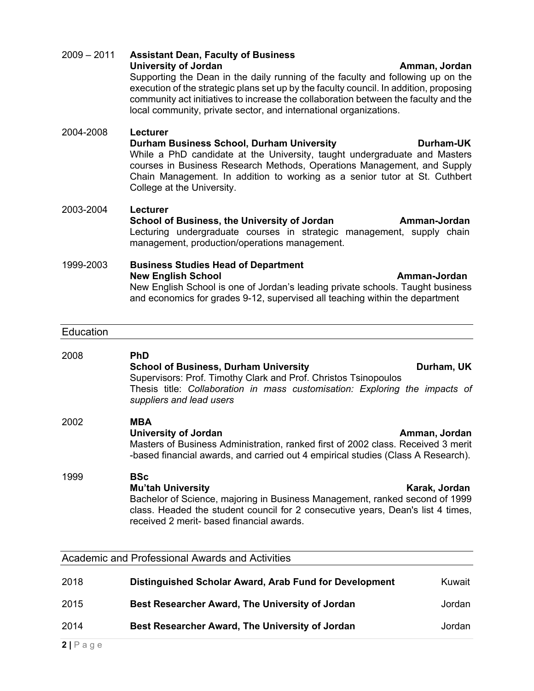|      | Masters of Business Administration, ranked first of 2002 class. Received 3 merit<br>-based financial awards, and carried out 4 empirical studies (Class A Research).                                                                                  |               |
|------|-------------------------------------------------------------------------------------------------------------------------------------------------------------------------------------------------------------------------------------------------------|---------------|
| 1999 | <b>BSc</b><br><b>Mu'tah University</b><br>Bachelor of Science, majoring in Business Management, ranked second of 1999<br>class. Headed the student council for 2 consecutive years, Dean's list 4 times,<br>received 2 merit- based financial awards. | Karak, Jordan |
|      | <b>Academic and Professional Awards and Activities</b>                                                                                                                                                                                                |               |
| 2018 | Distinguished Scholar Award, Arab Fund for Development                                                                                                                                                                                                | Kuwait        |
| 2015 | Best Researcher Award, The University of Jordan                                                                                                                                                                                                       | Jordan        |
| 2014 | Best Researcher Award, The University of Jordan                                                                                                                                                                                                       | Jordan        |

**New English School Amman-Jordan** New English School is one of Jordan's leading private schools. Taught business and economics for grades 9-12, supervised all teaching within the department

**School of Business, Durham University Construction Curriam, UK** 

Thesis title: *Collaboration in mass customisation: Exploring the impacts of* 

**University of Jordan Amman, Jordan**

**School of Business, the University of Jordan Amman-Jordan Amman-Jordan** management, production/operations management.

2004-2008 **Lecturer**

2009 – 2011 **Assistant Dean, Faculty of Business**

*suppliers and lead users*

community act initiatives to increase the collaboration between the faculty and the

Supporting the Dean in the daily running of the faculty and following up on the execution of the strategic plans set up by the faculty council. In addition, proposing

**Durham Business School, Durham University <b>Durham-UK** While a PhD candidate at the University, taught undergraduate and Masters courses in Business Research Methods, Operations Management, and Supply Chain Management. In addition to working as a senior tutor at St. Cuthbert College at the University.

### 2003-2004 **Lecturer**

Lecturing undergraduate courses in strategic management, supply chain

# 1999-2003 **Business Studies Head of Department**

Supervisors: Prof. Timothy Clark and Prof. Christos Tsinopoulos

### **Education**

2008 **PhD**

2002 **MBA** 

**2 |** Page

**University of Jordan Amman, Jordan Amman, Jordan Amman, Jordan Amman, Jordan Amman, Jordan Amman, Jordan Amman, Jordan Amman, Jordan Amman, Jordan Amman, Jordan Amman, Jordan Amman, Jordan Amman, Jordan Amman, Jordan Amma** 

local community, private sector, and international organizations.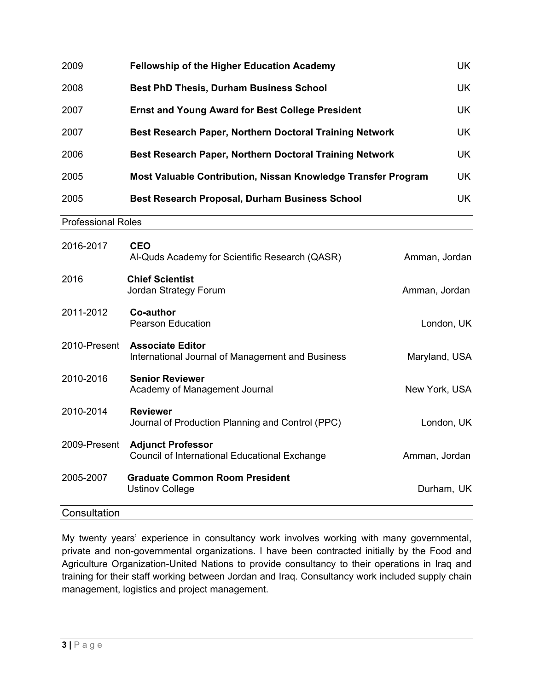| 2009                      | <b>Fellowship of the Higher Education Academy</b>                                | UK            |
|---------------------------|----------------------------------------------------------------------------------|---------------|
| 2008                      | <b>Best PhD Thesis, Durham Business School</b>                                   | UK            |
| 2007                      | <b>Ernst and Young Award for Best College President</b>                          | <b>UK</b>     |
| 2007                      | Best Research Paper, Northern Doctoral Training Network                          | <b>UK</b>     |
| 2006                      | Best Research Paper, Northern Doctoral Training Network                          | <b>UK</b>     |
| 2005                      | Most Valuable Contribution, Nissan Knowledge Transfer Program                    | <b>UK</b>     |
| 2005                      | <b>Best Research Proposal, Durham Business School</b>                            | <b>UK</b>     |
| <b>Professional Roles</b> |                                                                                  |               |
| 2016-2017                 | <b>CEO</b><br>Al-Quds Academy for Scientific Research (QASR)                     | Amman, Jordan |
| 2016                      | <b>Chief Scientist</b><br>Jordan Strategy Forum                                  | Amman, Jordan |
| 2011-2012                 | Co-author<br><b>Pearson Education</b>                                            | London, UK    |
| 2010-Present              | <b>Associate Editor</b><br>International Journal of Management and Business      | Maryland, USA |
| 2010-2016                 | <b>Senior Reviewer</b><br>Academy of Management Journal                          | New York, USA |
| 2010-2014                 | <b>Reviewer</b><br>Journal of Production Planning and Control (PPC)              | London, UK    |
| 2009-Present              | <b>Adjunct Professor</b><br><b>Council of International Educational Exchange</b> | Amman, Jordan |
| 2005-2007                 | <b>Graduate Common Room President</b><br><b>Ustinov College</b>                  | Durham, UK    |
| Consultation              |                                                                                  |               |

My twenty years' experience in consultancy work involves working with many governmental, private and non-governmental organizations. I have been contracted initially by the Food and Agriculture Organization-United Nations to provide consultancy to their operations in Iraq and training for their staff working between Jordan and Iraq. Consultancy work included supply chain management, logistics and project management.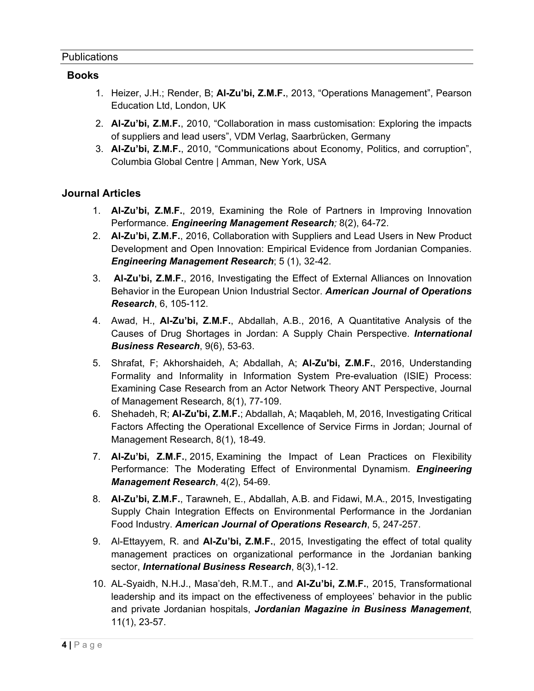### **Books**

- 1. Heizer, J.H.; Render, B; **Al-Zu'bi, Z.M.F.**, 2013, "Operations Management", Pearson Education Ltd, London, UK
- 2. **Al-Zu'bi, Z.M.F.**, 2010, "Collaboration in mass customisation: Exploring the impacts of suppliers and lead users", VDM Verlag, Saarbrücken, Germany
- 3. **Al-Zu'bi, Z.M.F.**, 2010, "Communications about Economy, Politics, and corruption", Columbia Global Centre | Amman, New York, USA

## **Journal Articles**

- 1. **Al-Zu'bi, Z.M.F.**, 2019, Examining the Role of Partners in Improving Innovation Performance. *Engineering Management Research;* 8(2), 64-72.
- 2. **Al-Zu'bi, Z.M.F.**, 2016, Collaboration with Suppliers and Lead Users in New Product Development and Open Innovation: Empirical Evidence from Jordanian Companies. *Engineering Management Research*; 5 (1), 32-42.
- 3. **Al-Zu'bi, Z.M.F.**, 2016, Investigating the Effect of External Alliances on Innovation Behavior in the European Union Industrial Sector. *American Journal of Operations Research*, 6, 105-112.
- 4. Awad, H., **Al-Zu'bi, Z.M.F.**, Abdallah, A.B., 2016, A Quantitative Analysis of the Causes of Drug Shortages in Jordan: A Supply Chain Perspective. *International Business Research*, 9(6), 53-63.
- 5. Shrafat, F; Akhorshaideh, A; Abdallah, A; **Al-Zu'bi, Z.M.F.**, 2016, Understanding Formality and Informality in Information System Pre-evaluation (ISIE) Process: Examining Case Research from an Actor Network Theory ANT Perspective, Journal of Management Research, 8(1), 77-109.
- 6. Shehadeh, R; **Al-Zu'bi, Z.M.F.**; Abdallah, A; Maqableh, M, 2016, Investigating Critical Factors Affecting the Operational Excellence of Service Firms in Jordan; Journal of Management Research, 8(1), 18-49.
- 7. **Al-Zu'bi, Z.M.F.**, 2015, Examining the Impact of Lean Practices on Flexibility Performance: The Moderating Effect of Environmental Dynamism. *Engineering Management Research*, 4(2), 54-69.
- 8. **Al-Zu'bi, Z.M.F.**, Tarawneh, E., Abdallah, A.B. and Fidawi, M.A., 2015, Investigating Supply Chain Integration Effects on Environmental Performance in the Jordanian Food Industry. *American Journal of Operations Research*, 5, 247-257.
- 9. Al-Ettayyem, R. and **Al-Zu'bi, Z.M.F.**, 2015, Investigating the effect of total quality management practices on organizational performance in the Jordanian banking sector, *International Business Research*, 8(3),1-12.
- 10. AL-Syaidh, N.H.J., Masa'deh, R.M.T., and **Al-Zu'bi, Z.M.F.**, 2015, Transformational leadership and its impact on the effectiveness of employees' behavior in the public and private Jordanian hospitals, *Jordanian Magazine in Business Management*, 11(1), 23-57.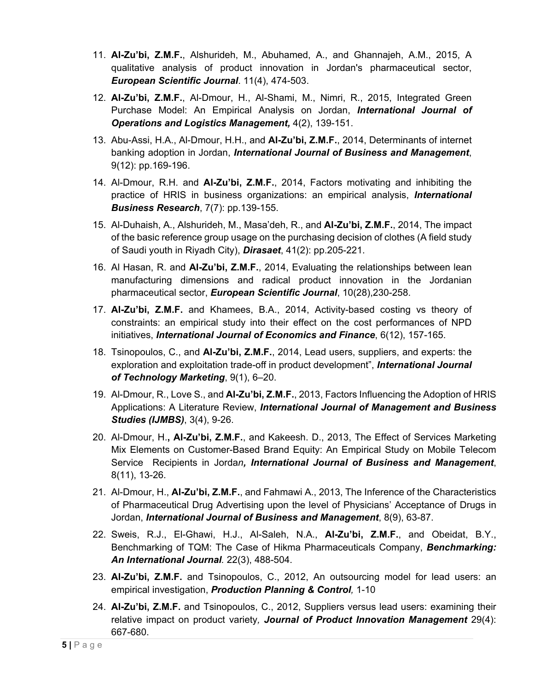- 11. **Al-Zu'bi, Z.M.F.**, Alshurideh, M., Abuhamed, A., and Ghannajeh, A.M., 2015, A qualitative analysis of product innovation in Jordan's pharmaceutical sector, *European Scientific Journal*. 11(4), 474-503.
- 12. **Al-Zu'bi, Z.M.F.**, Al-Dmour, H., Al-Shami, M., Nimri, R., 2015, Integrated Green Purchase Model: An Empirical Analysis on Jordan, *International Journal of Operations and Logistics Management,* 4(2), 139-151.
- 13. Abu-Assi, H.A., Al-Dmour, H.H., and **Al-Zu'bi, Z.M.F.**, 2014, Determinants of internet banking adoption in Jordan, *International Journal of Business and Management*, 9(12): pp.169-196.
- 14. Al-Dmour, R.H. and **Al-Zu'bi, Z.M.F.**, 2014, Factors motivating and inhibiting the practice of HRIS in business organizations: an empirical analysis, *International Business Research*, 7(7): pp.139-155.
- 15. Al-Duhaish, A., Alshurideh, M., Masa'deh, R., and **Al-Zu'bi, Z.M.F.**, 2014, The impact of the basic reference group usage on the purchasing decision of clothes (A field study of Saudi youth in Riyadh City), *Dirasaet*, 41(2): pp.205-221.
- 16. Al Hasan, R. and **Al-Zu'bi, Z.M.F.**, 2014, Evaluating the relationships between lean manufacturing dimensions and radical product innovation in the Jordanian pharmaceutical sector, *European Scientific Journal*, 10(28),230-258.
- 17. **Al-Zu'bi, Z.M.F.** and Khamees, B.A., 2014, Activity-based costing vs theory of constraints: an empirical study into their effect on the cost performances of NPD initiatives, *International Journal of Economics and Finance*, 6(12), 157-165.
- 18. Tsinopoulos, C., and **Al-Zu'bi, Z.M.F.**, 2014, Lead users, suppliers, and experts: the exploration and exploitation trade-off in product development", *International Journal of Technology Marketing*, 9(1), 6–20.
- 19. Al-Dmour, R., Love S., and **Al-Zu'bi, Z.M.F.**, 2013, Factors Influencing the Adoption of HRIS Applications: A Literature Review, *International Journal of Management and Business Studies (IJMBS)*, 3(4), 9-26.
- 20. Al-Dmour, H.**, Al-Zu'bi, Z.M.F.**, and Kakeesh. D., 2013, The Effect of Services Marketing Mix Elements on Customer-Based Brand Equity: An Empirical Study on Mobile Telecom Service Recipients in Jorda*n, International Journal of Business and Management*, 8(11), 13-26.
- 21. Al-Dmour, H., **Al-Zu'bi, Z.M.F.**, and Fahmawi A., 2013, The Inference of the Characteristics of Pharmaceutical Drug Advertising upon the level of Physicians' Acceptance of Drugs in Jordan, *International Journal of Business and Management*, 8(9), 63-87.
- 22. Sweis, R.J., El-Ghawi, H.J., Al-Saleh, N.A., **Al-Zu'bi, Z.M.F.**, and Obeidat, B.Y., Benchmarking of TQM: The Case of Hikma Pharmaceuticals Company, *Benchmarking: An International Journal.* 22(3), 488-504.
- 23. **Al-Zu'bi, Z.M.F.** and Tsinopoulos, C., 2012, An outsourcing model for lead users: an empirical investigation, *Production Planning & Control,* 1-10
- 24. **Al-Zu'bi, Z.M.F.** and Tsinopoulos, C., 2012, Suppliers versus lead users: examining their relative impact on product variety*, Journal of Product Innovation Management* 29(4): 667-680.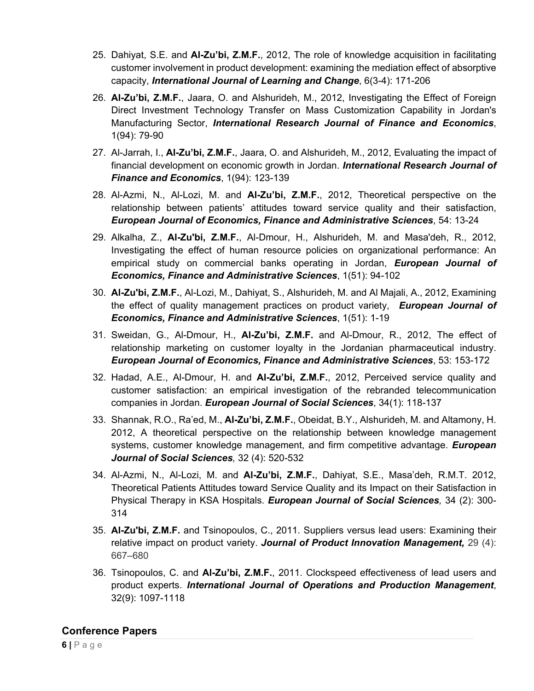- 25. Dahiyat, S.E. and **Al-Zu'bi, Z.M.F.**, 2012, The role of knowledge acquisition in facilitating customer involvement in product development: examining the mediation effect of absorptive capacity, *International Journal of Learning and Change*, 6(3-4): 171-206
- 26. **Al-Zu'bi, Z.M.F.**, Jaara, O. and Alshurideh, M., 2012, Investigating the Effect of Foreign Direct Investment Technology Transfer on Mass Customization Capability in Jordan's Manufacturing Sector, *International Research Journal of Finance and Economics*, 1(94): 79-90
- 27. Al-Jarrah, I., **Al-Zu'bi, Z.M.F.**, Jaara, O. and Alshurideh, M., 2012, Evaluating the impact of financial development on economic growth in Jordan. *International Research Journal of Finance and Economics*, 1(94): 123-139
- 28. Al-Azmi, N., Al-Lozi, M. and **Al-Zu'bi, Z.M.F.**, 2012, Theoretical perspective on the relationship between patients' attitudes toward service quality and their satisfaction, *European Journal of Economics, Finance and Administrative Sciences*, 54: 13-24
- 29. Alkalha, Z., **Al-Zu'bi, Z.M.F.**, Al-Dmour, H., Alshurideh, M. and Masa'deh, R., 2012, Investigating the effect of human resource policies on organizational performance: An empirical study on commercial banks operating in Jordan, *European Journal of Economics, Finance and Administrative Sciences*, 1(51): 94-102
- 30. **Al-Zu'bi, Z.M.F.**, Al-Lozi, M., Dahiyat, S., Alshurideh, M. and Al Majali, A., 2012, Examining the effect of quality management practices on product variety, *European Journal of Economics, Finance and Administrative Sciences*, 1(51): 1-19
- 31. Sweidan, G., Al-Dmour, H., **Al-Zu'bi, Z.M.F.** and Al-Dmour, R., 2012, The effect of relationship marketing on customer loyalty in the Jordanian pharmaceutical industry. *European Journal of Economics, Finance and Administrative Sciences*, 53: 153-172
- 32. Hadad, A.E., Al-Dmour, H. and **Al-Zu'bi, Z.M.F.**, 2012, Perceived service quality and customer satisfaction: an empirical investigation of the rebranded telecommunication companies in Jordan. *European Journal of Social Sciences*, 34(1): 118-137
- 33. Shannak, R.O., Ra'ed, M., **Al-Zu'bi, Z.M.F.**, Obeidat, B.Y., Alshurideh, M. and Altamony, H. 2012, A theoretical perspective on the relationship between knowledge management systems, customer knowledge management, and firm competitive advantage. *European Journal of Social Sciences,* 32 (4): 520-532
- 34. Al-Azmi, N., Al-Lozi, M. and **Al-Zu'bi, Z.M.F.**, Dahiyat, S.E., Masa'deh, R.M.T. 2012, Theoretical Patients Attitudes toward Service Quality and its Impact on their Satisfaction in Physical Therapy in KSA Hospitals. *European Journal of Social Sciences,* 34 (2): 300- 314
- 35. **Al-Zu'bi, Z.M.F.** and Tsinopoulos, C., 2011. Suppliers versus lead users: Examining their relative impact on product variety. *Journal of Product Innovation Management,* 29 (4): 667–680
- 36. Tsinopoulos, C. and **Al-Zu'bi, Z.M.F.**, 2011. Clockspeed effectiveness of lead users and product experts. *International Journal of Operations and Production Management*, 32(9): 1097-1118